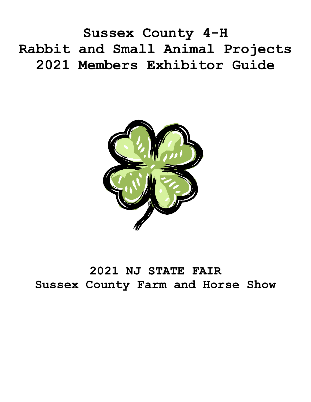**Sussex County 4-H Rabbit and Small Animal Projects 2021 Members Exhibitor Guide**



# **2021 NJ STATE FAIR Sussex County Farm and Horse Show**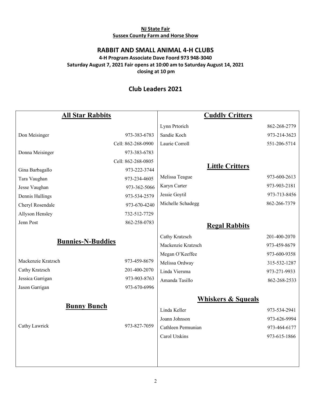#### **NJ State Fair Sussex County Farm and Horse Show**

## **RABBIT AND SMALL ANIMAL 4-H CLUBS**

### **4-H Program Associate Dave Foord 973 948-3040 Saturday August 7, 2021 Fair opens at 10:00 am to Saturday August 14, 2021 closing at 10 pm**

# **Club Leaders 2021**

| <b>All Star Rabbits</b>  |                    | <b>Cuddly Critters</b> |              |
|--------------------------|--------------------|------------------------|--------------|
|                          |                    | Lynn Prtorich          | 862-268-2779 |
| Don Meisinger            | 973-383-6783       | Sandie Koch            | 973-214-3623 |
|                          | Cell: 862-268-0900 | Laurie Corroll         | 551-206-5714 |
| Donna Meisinger          | 973-383-6783       |                        |              |
|                          | Cell: 862-268-0805 |                        |              |
| Gina Barbagallo          | 973-222-3744       | <b>Little Critters</b> |              |
| Tara Vaughan             | 973-234-4605       | Melissa Teague         | 973-600-2613 |
| Jesse Vaughan            | 973-362-5066       | Karyn Carter           | 973-903-2181 |
| Dennis Hullings          | 973-534-2579       | Jessie Goytil          | 973-713-8456 |
| Cheryl Rosendale         | 973-670-4240       | Michelle Schadegg      | 862-266-7379 |
| Allyson Hensley          | 732-512-7729       |                        |              |
| Jenn Post                | 862-258-0783       | <b>Regal Rabbits</b>   |              |
| <b>Bunnies-N-Buddies</b> |                    | Cathy Kratzsch         | 201-400-2070 |
|                          |                    | Mackenzie Kratzsch     | 973-459-8679 |
|                          |                    | Megan O'Keeffee        | 973-600-9358 |
| Mackenzie Kratzsch       | 973-459-8679       | Melissa Ordway         | 315-532-1287 |
| Cathy Kratzsch           | 201-400-2070       | Linda Viersma          | 973-271-9933 |
| Jessica Garrigan         | 973-903-8763       | Amanda Tasillo         | 862-268-2533 |
| Jason Garrigan           | 973-670-6996       |                        |              |
|                          |                    | Whiskers & Squeals     |              |
| <b>Bunny Bunch</b>       |                    | Linda Keller           | 973-534-2941 |
| Cathy Lawrick            | 973-827-7059       | Joann Johnson          | 973-626-9994 |
|                          |                    | Cathleen Permunian     | 973-464-6177 |
|                          |                    | Carol Utskins          | 973-615-1866 |
|                          |                    |                        |              |
|                          |                    |                        |              |
|                          |                    |                        |              |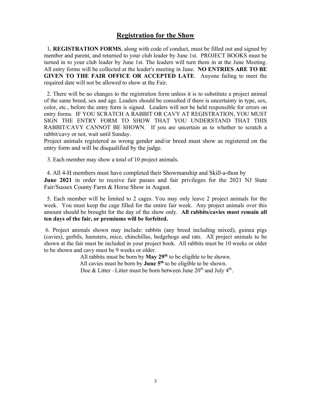## **Registration for the Show**

 1**. REGISTRATION FORMS**, along with code of conduct, must be filled out and signed by member and parent, and returned to your club leader by June 1st. PROJECT BOOKS must be turned in to your club leader by June 1st. The leaders will turn them in at the June Meeting. All entry forms will be collected at the leader's meeting in June. **NO ENTRIES ARE TO BE GIVEN TO THE FAIR OFFICE OR ACCEPTED LATE**. Anyone failing to meet the required date will not be allowed to show at the Fair.

 2. There will be no changes to the registration form unless it is to substitute a project animal of the same breed, sex and age. Leaders should be consulted if there is uncertainty in type, sex, color, etc., before the entry form is signed. Leaders will not be held responsible for errors on entry forms. IF YOU SCRATCH A RABBIT OR CAVY AT REGISTRATION, YOU MUST SIGN THE ENTRY FORM TO SHOW THAT YOU UNDERSTAND THAT THIS RABBIT/CAVY CANNOT BE SHOWN. If you are uncertain as to whether to scratch a rabbit/cavy or not, wait until Sunday.

Project animals registered as wrong gender and/or breed must show as registered on the entry form and will be disqualified by the judge.

3. Each member may show a total of 10 project animals.

 4. All 4-H members must have completed their Showmanship and Skill-a-thon by **June 2021** in order to receive fair passes and fair privileges for the 2021 NJ State Fair/Sussex County Farm & Horse Show in August.

 5. Each member will be limited to 2 cages. You may only leave 2 project animals for the week. You must keep the cage filled for the entire fair week. Any project animals over this amount should be brought for the day of the show only. **All rabbits/cavies must remain all ten days of the fair, or premiums will be forfeited.**

6. Project animals shown may include: rabbits (any breed including mixed), guinea pigs (cavies), gerbils, hamsters, mice, chinchillas, hedgehogs and rats. All project animals to be shown at the fair must be included in your project book. All rabbits must be 10 weeks or older to be shown and cavy must be 9 weeks or older.

> All rabbits must be born by **May 29th** to be eligible to be shown. All cavies must be born by **June 5th** to be eligible to be shown. Doe & Litter –Litter must be born between June  $20<sup>th</sup>$  and July  $4<sup>th</sup>$ .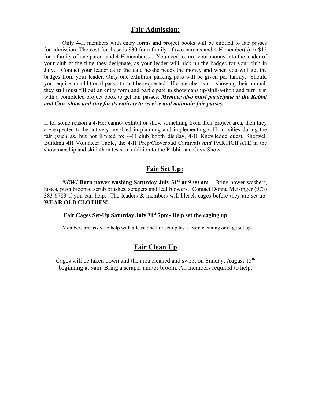#### **Fair Admission:**

Only 4-H members with entry forms and project books will be entitled to fair passes for admission. The cost for these is \$30 for a family of two parents and 4-H member(s) or \$15 for a family of one parent and 4-H member(s). You need to turn your money into the leader of your club at the time they designate, as your leader will pick up the badges for your club in July. Contact your leader as to the date he/she needs the money and when you will get the badges from your leader. Only one exhibitor parking pass will be given per family. Should you require an additional pass, it must be requested. If a member is not showing their animal, they still must fill out an entry form and participate in showmanship/skill-a-thon and turn it in with a completed project book to get fair passes: *Member also must participate at the Rabbit and Cavy show and stay for its entirety to receive and maintain fair passes.*

If for some reason a 4-Her cannot exhibit or show something from their project area, then they are expected to be actively involved in planning and implementing 4-H activities during the fair (such as, but not limited to: 4-H club booth display, 4-H Knowledge quest, Shotwell Building 4H Volunteer Table, the 4-H Prep/Cloverbud Carnival) *and* PARTICIPATE in the showmanship and skillathon tests, in addition to the Rabbit and Cavy Show.

## **Fair Set Up:**

*NEW!* Barn power washing Saturday July 31<sup>st</sup> at 9:00 am – Bring power washers, hoses, push brooms, scrub brushes, scrapers and leaf blowers. Contact Donna Meisinger (973) 383-6783 if you can help. The leaders & members will bleach cages before they are set-up. **WEAR OLD CLOTHES!** 

## **Fair Cages Set-Up Saturday July 31st 7pm- Help set the caging up**

Members are asked to help with atleast one fair set up task- Barn cleaning or cage set up

## **Fair Clean Up**

Cages will be taken down and the area cleaned and swept on Sunday, August  $15<sup>th</sup>$ beginning at 9am. Bring a scraper and/or broom. All members required to help.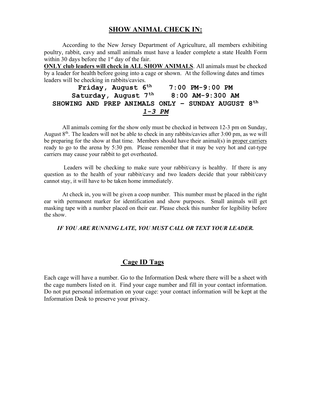## **SHOW ANIMAL CHECK IN:**

According to the New Jersey Department of Agriculture, all members exhibiting poultry, rabbit, cavy and small animals must have a leader complete a state Health Form within 30 days before the 1<sup>st</sup> day of the fair.

**ONLY club leaders will check in ALL SHOW ANIMALS**. All animals must be checked by a leader for health before going into a cage or shown. At the following dates and times leaders will be checking in rabbits/cavies.

Friday, August  $6^{th}$  7:00 PM-9:00 PM **Saturday, August 7th 8:00 AM-9:300 AM SHOWING AND PREP ANIMALS ONLY – SUNDAY AUGUST 8th** *1-3 PM*

All animals coming for the show only must be checked in between 12-3 pm on Sunday, August  $8<sup>th</sup>$ . The leaders will not be able to check in any rabbits/cavies after 3:00 pm, as we will be preparing for the show at that time. Members should have their animal(s) in proper carriers ready to go to the arena by 5:30 pm. Please remember that it may be very hot and cat-type carriers may cause your rabbit to get overheated.

Leaders will be checking to make sure your rabbit/cavy is healthy. If there is any question as to the health of your rabbit/cavy and two leaders decide that your rabbit/cavy cannot stay, it will have to be taken home immediately.

At check in, you will be given a coop number. This number must be placed in the right ear with permanent marker for identification and show purposes. Small animals will get masking tape with a number placed on their ear. Please check this number for legibility before the show.

#### *IF YOU ARE RUNNING LATE, YOU MUST CALL OR TEXT YOUR LEADER.*

## **Cage ID Tags**

Each cage will have a number. Go to the Information Desk where there will be a sheet with the cage numbers listed on it. Find your cage number and fill in your contact information. Do not put personal information on your cage: your contact information will be kept at the Information Desk to preserve your privacy.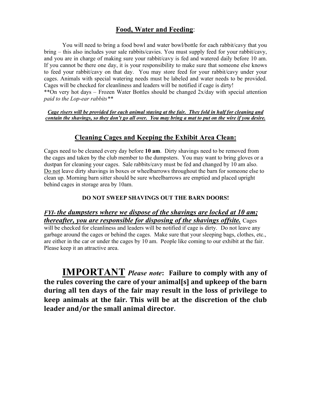# **Food, Water and Feeding**:

You will need to bring a food bowl and water bowl/bottle for each rabbit/cavy that you bring – this also includes your sale rabbits/cavies. You must supply feed for your rabbit/cavy, and you are in charge of making sure your rabbit/cavy is fed and watered daily before 10 am. If you cannot be there one day, it is your responsibility to make sure that someone else knows to feed your rabbit/cavy on that day. You may store feed for your rabbit/cavy under your cages. Animals with special watering needs must be labeled and water needs to be provided. Cages will be checked for cleanliness and leaders will be notified if cage is dirty!

\*\*On very hot days – Frozen Water Bottles should be changed 2x/day with special attention *paid to the Lop-ear rabbits\*\** 

*Cage risers will be provided for each animal staying at the fair. They fold in half for cleaning and contain the shavings, so they don't go all over. You may bring a mat to put on the wire if you desire.*

## **Cleaning Cages and Keeping the Exhibit Area Clean:**

Cages need to be cleaned every day before **10 am**. Dirty shavings need to be removed from the cages and taken by the club member to the dumpsters. You may want to bring gloves or a dustpan for cleaning your cages. Sale rabbits/cavy must be fed and changed by 10 am also. Do not leave dirty shavings in boxes or wheelbarrows throughout the barn for someone else to clean up. Morning barn sitter should be sure wheelbarrows are emptied and placed upright behind cages in storage area by 10am.

#### **DO NOT SWEEP SHAVINGS OUT THE BARN DOORS!**

## *FYI- the dumpsters where we dispose of the shavings are locked at 10 am; thereafter, you are responsible for disposing of the shavings offsite.* Cages

will be checked for cleanliness and leaders will be notified if cage is dirty. Do not leave any garbage around the cages or behind the cages. Make sure that your sleeping bags, clothes, etc., are either in the car or under the cages by 10 am. People like coming to our exhibit at the fair. Please keep it an attractive area.

**IMPORTANT** Please note: Failure to comply with any of the rules covering the care of your animal[s] and upkeep of the barn during all ten days of the fair may result in the loss of privilege to keep animals at the fair. This will be at the discretion of the club leader and/or the small animal director.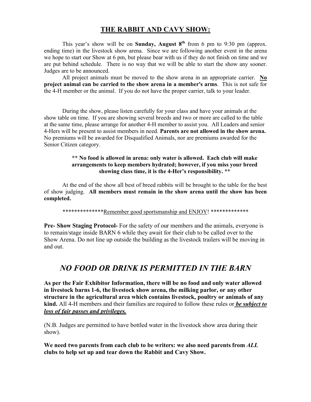# **THE RABBIT AND CAVY SHOW:**

This year's show will be on **Sunday, August 8th** from 6 pm to 9:30 pm (approx. ending time) in the livestock show arena. Since we are following another event in the arena we hope to start our Show at 6 pm, but please bear with us if they do not finish on time and we are put behind schedule. There is no way that we will be able to start the show any sooner. Judges are to be announced.

All project animals must be moved to the show arena in an appropriate carrier. **No project animal can be carried to the show arena in a member's arms**. This is not safe for the 4-H member or the animal. If you do not have the proper carrier, talk to your leader.

During the show, please listen carefully for your class and have your animals at the show table on time. If you are showing several breeds and two or more are called to the table at the same time, please arrange for another 4-H member to assist you. All Leaders and senior 4-Hers will be present to assist members in need. **Parents are not allowed in the show arena.**  No premiums will be awarded for Disqualified Animals, nor are premiums awarded for the Senior Citizen category.

#### **\*\* No food is allowed in arena: only water is allowed. Each club will make arrangements to keep members hydrated; however, if you miss your breed showing class time, it is the 4-Her's responsibility. \*\***

At the end of the show all best of breed rabbits will be brought to the table for the best of show judging. **All members must remain in the show arena until the show has been completed.**

\*\*\*\*\*\*\*\*\*\*\*\*\*\*Remember good sportsmanship and ENJOY! \*\*\*\*\*\*\*\*\*\*\*\*\*

**Pre- Show Staging Protocol-** For the safety of our members and the animals, everyone is to remain/stage inside BARN 6 while they await for their club to be called over to the Show Arena. Do not line up outside the building as the livestock trailers will be moving in and out.

# *NO FOOD OR DRINK IS PERMITTED IN THE BARN*

**As per the Fair Exhibitor Information, there will be no food and only water allowed in livestock barns 1-6, the livestock show arena, the milking parlor, or any other structure in the agricultural area which contains livestock, poultry or animals of any kind.** All 4-H members and their families are required to follow these rules or *be subject to loss of fair passes and privileges.*

(N.B. Judges are permitted to have bottled water in the livestock show area during their show).

**We need two parents from each club to be writers: we also need parents from** *ALL* **clubs to help set up and tear down the Rabbit and Cavy Show.**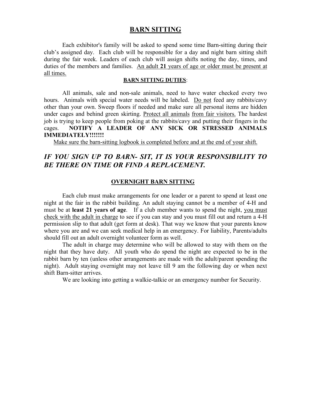### **BARN SITTING**

Each exhibitor's family will be asked to spend some time Barn-sitting during their club's assigned day. Each club will be responsible for a day and night barn sitting shift during the fair week. Leaders of each club will assign shifts noting the day, times, and duties of the members and families. An adult **21** years of age or older must be present at all times.

#### **BARN SITTING DUTIES**:

All animals, sale and non-sale animals, need to have water checked every two hours. Animals with special water needs will be labeled. Do not feed any rabbits/cavy other than your own. Sweep floors if needed and make sure all personal items are hidden under cages and behind green skirting. Protect all animals from fair visitors. The hardest job is trying to keep people from poking at the rabbits/cavy and putting their fingers in the cages. **NOTIFY A LEADER OF ANY SICK OR STRESSED ANIMALS IMMEDIATELY!!!!!!!**

Make sure the barn-sitting logbook is completed before and at the end of your shift.

# *IF YOU SIGN UP TO BARN- SIT, IT IS YOUR RESPONSIBILITY TO BE THERE ON TIME OR FIND A REPLACEMENT.*

#### **OVERNIGHT BARN SITTING**

Each club must make arrangements for one leader or a parent to spend at least one night at the fair in the rabbit building. An adult staying cannot be a member of 4-H and must be at **least 21 years of age**. If a club member wants to spend the night, you must check with the adult in charge to see if you can stay and you must fill out and return a 4-H permission slip to that adult (get form at desk). That way we know that your parents know where you are and we can seek medical help in an emergency. For liability, Parents/adults should fill out an adult overnight volunteer form as well.

 The adult in charge may determine who will be allowed to stay with them on the night that they have duty. All youth who do spend the night are expected to be in the rabbit barn by ten (unless other arrangements are made with the adult/parent spending the night). Adult staying overnight may not leave till 9 am the following day or when next shift Barn-sitter arrives.

We are looking into getting a walkie-talkie or an emergency number for Security.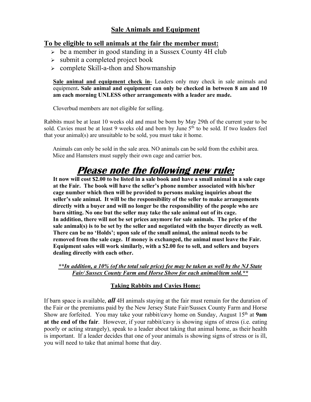# **Sale Animals and Equipment**

## **To be eligible to sell animals at the fair the member must:**

- $\geq$  be a member in good standing in a Sussex County 4H club
- $\geq$  submit a completed project book
- $\geq$  complete Skill-a-thon and Showmanship

**Sale animal and equipment check in**- Leaders only may check in sale animals and equipment**. Sale animal and equipment can only be checked in between 8 am and 10 am each morning UNLESS other arrangements with a leader are made.**

Cloverbud members are not eligible for selling.

Rabbits must be at least 10 weeks old and must be born by May 29th of the current year to be sold. Cavies must be at least 9 weeks old and born by June 5<sup>th</sup> to be sold. If two leaders feel that your animal(s) are unsuitable to be sold, you must take it home.

 Animals can only be sold in the sale area. NO animals can be sold from the exhibit area. Mice and Hamsters must supply their own cage and carrier box.

# **Please note the following new rule:**

**It now will cost \$2.00 to be listed in a sale book and have a small animal in a sale cage at the Fair. The book will have the seller's phone number associated with his/her cage number which then will be provided to persons making inquiries about the seller's sale animal. It will be the responsibility of the seller to make arrangements directly with a buyer and will no longer be the responsibility of the people who are barn sitting. No one but the seller may take the sale animal out of its cage. In addition, there will not be set prices anymore for sale animals. The price of the sale animal(s) is to be set by the seller and negotiated with the buyer directly as well. There can be no 'Holds'; upon sale of the small animal, the animal needs to be removed from the sale cage. If money is exchanged, the animal must leave the Fair. Equipment sales will work similarly, with a \$2.00 fee to sell, and sellers and buyers dealing directly with each other.**

*\*\*In addition, a 10% (of the total sale price) fee may be taken as well by the NJ State Fair/ Sussex County Farm and Horse Show for each animal/item sold.\*\**

## **Taking Rabbits and Cavies Home:**

If barn space is available, *all* 4H animals staying at the fair must remain for the duration of the Fair or the premiums paid by the New Jersey State Fair/Sussex County Farm and Horse Show are forfeited. You may take your rabbit/cavy home on Sunday, August 15<sup>th</sup> at 9am **at the end of the fair**. However, if your rabbit/cavy is showing signs of stress (i.e. eating poorly or acting strangely), speak to a leader about taking that animal home, as their health is important. If a leader decides that one of your animals is showing signs of stress or is ill, you will need to take that animal home that day.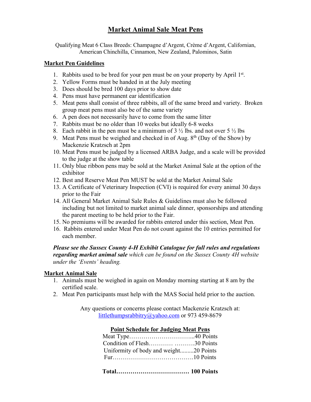# **Market Animal Sale Meat Pens**

Qualifying Meat 6 Class Breeds: Champagne d'Argent, Crème d'Argent, Californian, American Chinchilla, Cinnamon, New Zealand, Palominos, Satin

#### **Market Pen Guidelines**

- 1. Rabbits used to be bred for your pen must be on your property by April 1st.
- 2. Yellow Forms must be handed in at the July meeting
- 3. Does should be bred 100 days prior to show date
- 4. Pens must have permanent ear identification
- 5. Meat pens shall consist of three rabbits, all of the same breed and variety. Broken group meat pens must also be of the same variety
- 6. A pen does not necessarily have to come from the same litter
- 7. Rabbits must be no older than 10 weeks but ideally 6-8 weeks
- 8. Each rabbit in the pen must be a minimum of  $3\frac{1}{2}$  lbs. and not over  $5\frac{1}{2}$  lbs
- 9. Meat Pens must be weighed and checked in of Aug.  $8<sup>th</sup>$  (Day of the Show) by Mackenzie Kratzsch at 2pm
- 10. Meat Pens must be judged by a licensed ARBA Judge, and a scale will be provided to the judge at the show table
- 11. Only blue ribbon pens may be sold at the Market Animal Sale at the option of the exhibitor
- 12. Best and Reserve Meat Pen MUST be sold at the Market Animal Sale
- 13. A Certificate of Veterinary Inspection (CVI) is required for every animal 30 days prior to the Fair
- 14. All General Market Animal Sale Rules & Guidelines must also be followed including but not limited to market animal sale dinner, sponsorships and attending the parent meeting to be held prior to the Fair.
- 15. No premiums will be awarded for rabbits entered under this section, Meat Pen.
- 16. Rabbits entered under Meat Pen do not count against the 10 entries permitted for each member.

## *Please see the Sussex County 4-H Exhibit Catalogue for full rules and regulations regarding market animal sale which can be found on the Sussex County 4H website under the 'Events' heading.*

#### **Market Animal Sale**

- 1. Animals must be weighed in again on Monday morning starting at 8 am by the certified scale.
- 2. Meat Pen participants must help with the MAS Social held prior to the auction.

Any questions or concerns please contact Mackenzie Kratzsch at: littlethumpsrabbitry@yahoo.com or 973 459-8679

| T UIIIt SCHCQUIC TUI TUULLIILE MICAL I CHS |  |  |  |
|--------------------------------------------|--|--|--|
|                                            |  |  |  |
| Condition of Flesh30 Points                |  |  |  |
| Uniformity of body and weight20 Points     |  |  |  |
|                                            |  |  |  |
|                                            |  |  |  |

## **Point Schedule for Judging Meat Pens**

**Total……………………………… 100 Points**